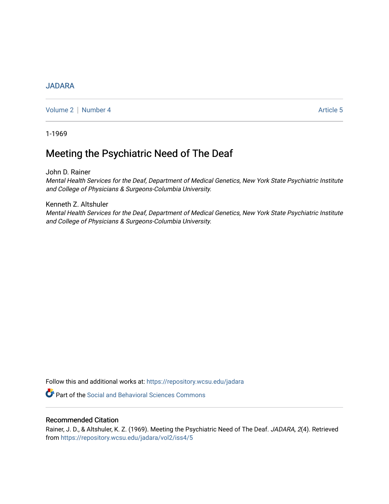## [JADARA](https://repository.wcsu.edu/jadara)

[Volume 2](https://repository.wcsu.edu/jadara/vol2) | [Number 4](https://repository.wcsu.edu/jadara/vol2/iss4) Article 5

1-1969

# Meeting the Psychiatric Need of The Deaf

John D. Rainer

Mental Health Services for the Deaf, Department of Medical Genetics, New York State Psychiatric Institute and College of Physicians & Surgeons-Columbia University.

Kenneth Z. Altshuler Mental Health Services for the Deaf, Department of Medical Genetics, New York State Psychiatric Institute and College of Physicians & Surgeons-Columbia University.

Follow this and additional works at: [https://repository.wcsu.edu/jadara](https://repository.wcsu.edu/jadara?utm_source=repository.wcsu.edu%2Fjadara%2Fvol2%2Fiss4%2F5&utm_medium=PDF&utm_campaign=PDFCoverPages)

**P** Part of the Social and Behavioral Sciences Commons

## Recommended Citation

Rainer, J. D., & Altshuler, K. Z. (1969). Meeting the Psychiatric Need of The Deaf. JADARA, 2(4). Retrieved from [https://repository.wcsu.edu/jadara/vol2/iss4/5](https://repository.wcsu.edu/jadara/vol2/iss4/5?utm_source=repository.wcsu.edu%2Fjadara%2Fvol2%2Fiss4%2F5&utm_medium=PDF&utm_campaign=PDFCoverPages)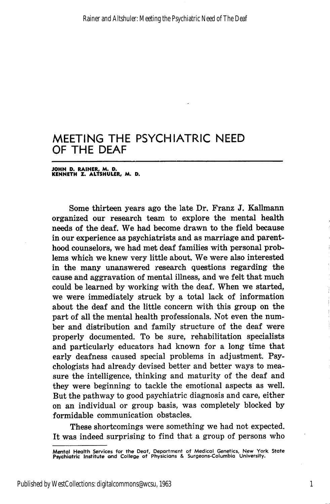JOHN D. RAINER, M. D. KENNETH Z. ALTSHULER, M. D.

Some thirteen years ago the late Dr. Franz J. Kallmann organized our research team to explore the mental health needs of the deaf. We had become drawn to the field because in our experience as psychiatrists and as marriage and parent hood counselors, we had met deaf families with personal prob lems which we knew very little about. We were also interested in the many unanswered research questions regarding the cause and aggravation of mental illness, and we felt that much could be learned by working with the deaf. When we started, we were immediately struck by a total lack of information about the deaf and the little concern with this group on the part of all the mental health professionals. Not even the num ber and distribution and family structure of the deaf were properly documented. To be sure, rehabilitation specialists and particularly educators had known for a long time that early deafness caused special problems in adjustment. Psy chologists had already devised better and better ways to mea sure the intelligence, thinking and maturity of the deaf and they were beginning to tackle the emotional aspects as well. But the pathway to good psychiatric diagnosis and care, either on an individual or group basis, was completely blocked by formidable communication obstacles.

These shortcomings were something we had not expected. It was indeed surprising to find that a group of persons who

1

Mental Health Services for the Deaf, Department of Medical Genetics, New York State Psychiatric Institute and College of Physicians & Surgeons-Columbia University.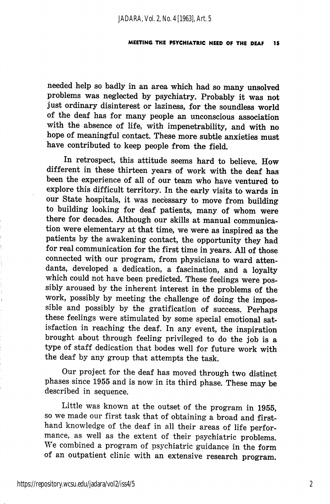needed help so badly in an area which had so many unsolved problems was neglected by psychiatry. Probably it was not just ordinary disinterest or laziness, for the soundless world of the deaf has for many people an unconscious association with the absence of life, with impenetrability, and with no hope of meaningful contact. These more subtle anxieties must have contributed to keep people from the field.

In retrospect, this attitude seems hard to believe. How different in these thirteen years of work with the deaf has been the experience of all of our team who have ventured to explore this difficult territory. In the early visits to wards in our State hospitals, it was necessary to move from building to building looking for deaf patients, many of whom were there for decades. Although our skills at manual communica tion were elementary at that time, we were as inspired as the patients by the awakening contact, the opportunity they had for real communication for the first time in years. All of those connected with our program, from physicians to ward atten dants, developed a dedication, a fascination, and a loyalty which could not have been predicted. These feelings were pos sibly aroused by the inherent interest in the problems of the work, possibly by meeting the challenge of doing the impos sible and possibly by the gratification of success. Perhaps these feelings were stimulated by some special emotional sat isfaction in reaching the deaf. In any event, the inspiration brought about through feeling privileged to do the job is a type of staff dedication that bodes well for future work with the deaf by any group that attempts the task.

Our project for the deaf has moved through two distinct phases since 1955 and is now in its third phase. These may be described in sequence.

Little was known at the outset of the program in 1955, so we made our first task that of obtaining a broad and first hand knowledge of the deaf in all their areas of life perfor mance, as well as the extent of their psychiatric problems. We combined a program of psychiatric guidance in the form of an outpatient clinic with an extensive research program.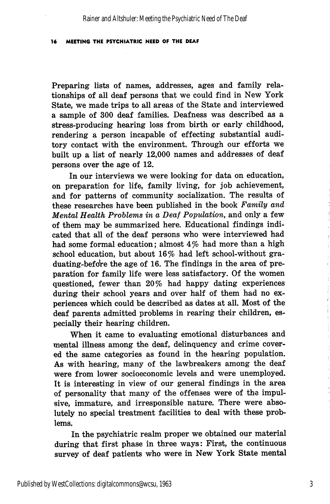Preparing lists of names, addresses, ages and family relationships of all deaf persons that we could find in New York State, we made trips to all areas of the State and interviewed a sample of 300 deaf families. Deafness was described as a stress-producing hearing loss from birth or early childhood, rendering a person incapable of effecting substantial audi tory contact with the environment. Through our efforts we built up a list of nearly 12,000 names and addresses of deaf persons over the age of 12.

In our interviews we were looking for data on education, on preparation for life, family living, for job achievement, and for patterns of community socialization. The results of these researches have been published in the book Family and Mental Health Problems in a Deaf Population, and only a few of them may be summarized here. Educational findings indi cated that all of the deaf persons who were interviewed had had some formal education; almost 4% had more than a high school education, but about 16% had left school-without graduating-before the age of 16. The findings in the area of preparation for family life were less satisfactory. Of the women questioned, fewer than 20% had happy dating experiences during their school years and over half of them had no ex periences which could be described as dates at all. Most of the deaf parents admitted problems in rearing their children, es pecially their hearing children.

When it came to evaluating emotional disturbances and mental illness among the deaf, delinquency and crime cover ed the same categories as found in the hearing population. As with hearing, many of the lawbreakers among the deaf were from lower socioeconomic levels and were unemployed. It is interesting in view of our general findings in the area of personality that many of the offenses were of the impul sive, immature, and irresponsible nature. There were abso lutely no special treatment facilities to deal with these prob lems.

In the psychiatric realm proper we obtained our material during that first phase in three ways: First, the continuous survey of deaf patients who were in New York State mental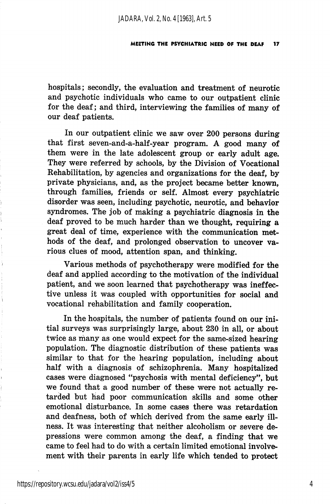hospitals; secondly, the evaluation and treatment of neurotic and psychotic individuals who came to our outpatient clinic for the deaf; and third, interviewing the families of many of our deaf patients.

In our outpatient clinic we saw over 200 persons during that first seven-and-a-half-year program. A good many of them were in the late adolescent group or early adult age. They were referred by schools, by the Division of Vocational Rehabilitation, by agencies and organizations for the deaf, by private physicians, and, as the project became better known, through families, friends or self. Almost every psychiatric disorder was seen, including psychotic, neurotic, and behavior syndromes. The job of making a psychiatric diagnosis in the deaf proved to be much harder than we thought, requiring a great deal of time, experience with the communication met hods of the deaf, and prolonged observation to uncover va rious clues of mood, attention span, and thinking.

Various methods of psychotherapy were modified for the deaf and applied according to the motivation of the individual patient, and we soon learned that psychotherapy was ineffec tive unless it was coupled with opportunities for social and vocational rehabilitation and family cooperation.

In the hospitals, the number of patients found on our ini tial surveys was surprisingly large, about 230 in all, or about twice as many as one would expect for the same-sized hearing population. The diagnostic distribution of these patients was similar to that for the hearing population, including about half with a diagnosis of schizophrenia. Many hospitalized cases were diagnosed "psychosis with mental deficiency", but we found that a good number of these were not actually re tarded but had poor communication skills and some other emotional disturbance. In some cases there was retardation and deafness, both of which derived from the same early ill ness. It was interesting that neither alcoholism or severe de pressions were common among the deaf, a finding that we came to feel had to do with a certain limited emotional involve ment with their parents in early life which tended to protect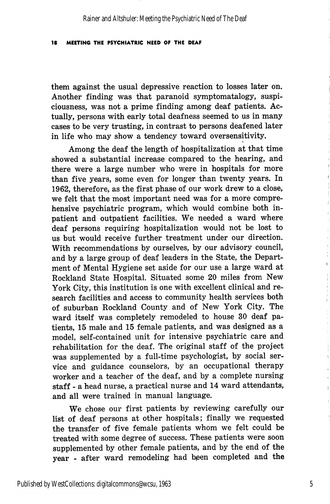them against the usual depressive reaction to losses later on. Another finding was that paranoid symptomatalogy, suspiciousness, was not a prime finding among deaf patients. Ac tually, persons with early total deafness seemed to us in many cases to be very trusting, in contrast to persons deafened later in life who may show a tendency toward oversensitivity.

Among the deaf the length of hospitalization at that time showed a substantial increase compared to the hearing, and there were a large number who were in hospitals for more than five years, some even for longer than twenty years. In 1962, therefore, as the first phase of our work drew to a close, we felt that the most important need was for a more compre hensive psychiatric program, which would combine both inpatient and outpatient facilities. We needed a ward where deaf persons requiring hospitalization would not be lost to us but would receive further treatment under our direction. With recommendations by ourselves, by our advisory council, and by a large group of deaf leaders in the State, the Depart ment of Mental Hygiene set aside for our use a large ward at Rockland State Hospital. Situated some 20 miles from New York City, this institution is one with excellent clinical and re search facilities and access to community health services both of suburban Rockland County and of New York City. The ward itself was completely remodeled to house 30 deaf pa tients, 15 male and 15 female patients, and was designed as a model, self-contained unit for intensive psychiatric care and rehabilitation for the deaf. The original staff of the project was supplemented by a full-time psychologist, by social ser vice and guidance counselors, by an occupational therapy worker and a teacher of the deaf, and by a complete nursing staff - a head nurse, a practical nurse and 14 ward attendants, and all were trained in manual language.

We chose our first patients by reviewing carefully our list of deaf persons at other hospitals; finally we requested the transfer of five female patients whom we felt could be treated with some degree of success. These patients were soon supplemented by other female patients, and by the end of the year - after ward remodeling had been completed and the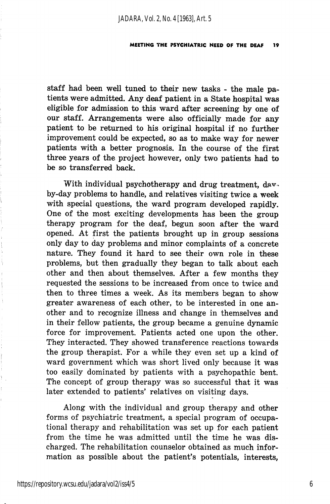staff had been well tuned to their new tasks - the male pa tients were admitted. Any deaf patient in a State hospital was eligible for admission to this ward after screening by one of our staff. Arrangements were also officially made for any patient to be returned to his original hospital if no further improvement could be expected, so as to make way for newer patients with a better prognosis. In the course of the first three years of the project however, only two patients had to be so transferred back.

With individual psychotherapy and drug treatment, davby-day problems to handle, and relatives visiting twice a week with special questions, the ward program developed rapidly. One of the most exciting developments has been the group therapy program for the deaf, begun soon after the ward opened. At first the patients brought up in group sessions only day to day problems and minor complaints of a concrete nature. They found it hard to see their own role in these problems, but then gradually they began to talk about each other and then about themselves. After a few months they requested the sessions to be increased from once to twice and then to three times a week. As its members began to show greater awareness of each other, to be interested in one an other and to recognize illness and change in themselves and in their fellow patients, the group became a genuine dynamic force for improvement. Patients acted one upon the other. They interacted. They showed transference reactions towards the group therapist. For a while they even set up a kind of ward government which was short lived only because it was too easily dominated by patients with a psychopathic bent. The concept of group therapy was so successful that it was later extended to patients' relatives on visiting days.

Along with the individual and group therapy and other forms of psychiatric treatment, a special program of occupa tional therapy and rehabilitation was set up for each patient from the time he was admitted until the time he was dis charged. The rehabilitation counselor obtained as much infor mation as possible about the patient's potentials, interests,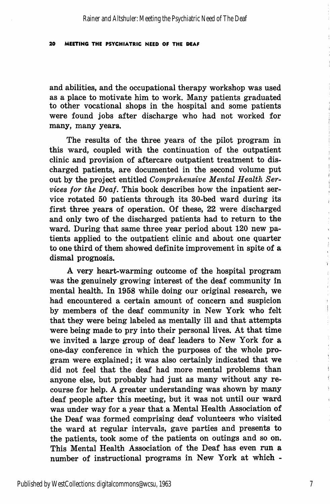and abilities, and the occupational therapy workshop was used as a place to motivate him to work. Many patients graduated to other vocational shops in the hospital and some patients were found jobs after discharge who had not worked for many, many years.

The results of the three years of the pilot program in this ward, coupled with the continuation of the outpatient clinic and provision of aftercare outpatient treatment to dis charged patients, are documented in the second volume put out by the project entitled Comprehensive Mental Health Services for the Deaf. This book describes how the inpatient ser vice rotated 50 patients through its 30-bed ward during its first three years of operation. Of these, 22 were discharged and only two of the discharged patients had to return to the ward. During that same three year period about 120 new pa tients applied to the outpatient clinic and about one quarter to one third of them showed definite improvement in spite of a dismal prognosis.

A very heart-warming outcome of the hospital program was the genuinely growing interest of the deaf community in mental health. In 1958 while doing our original research, we had encountered a certain amount of concern and suspicion by members of the deaf community in New York who felt that they were being labeled as mentally ill and that attempts were being made to pry into their personal lives. At that time we invited a large group of deaf leaders to New York for a one-day conference in which the purposes of the whole pro gram were explained; it was also certainly indicated that we did not feel that the deaf had more mental problems than anyone else, but probably had just as many without any re course for help. A greater understanding was shown by many deaf people after this meeting, but it was not until our ward was under way for a year that a Mental Health Association of the Deaf was formed comprising deaf volunteers who visited the ward at regular intervals, gave parties and presents to the patients, took some of the patients on outings and so on. This Mental Health Association of the Deaf has even run a number of instructional programs in New York at which -

 $\ddagger$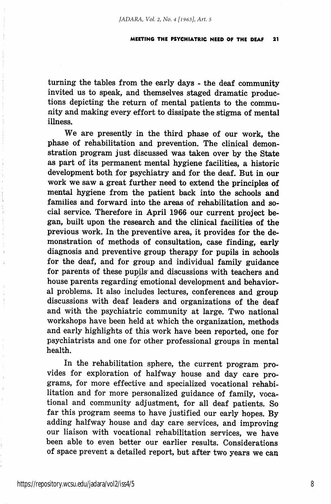turning the tables from the early days - the deaf community invited us to speak, and themselves staged dramatic produc tions depicting the return of mental patients to the commu nity and making every effort to dissipate the stigma of mental illness.

We are presently in the third phase of our work, the phase of rehabilitation and prevention. The clinical demon stration program just discussed was taken over by the State as part of its permanent mental hygiene facilities, a historic development both for psychiatry and for the deaf. But in our work we saw a great further need to extend the principles of mental hygiene from the patient back into the schools and families and forward into the areas of rehabilitation and social service. Therefore in April 1966 our current project be gan, built upon the research and the clinical facilities of the previous work. In the preventive area, it provides for the de monstration of methods of consultation, case finding, early diagnosis and preventive group therapy for pupils in schools for the deaf, and for group and individual family guidance for parents of these pupils and discussions with teachers and house parents regarding emotional development and behavioral problems. It also includes lectures, conferences and group discussions with deaf leaders and organizations of the deaf and with the psychiatric community at large. Two national workshops have been held at which the organization, methods and early highlights of this work have been reported, one for psychiatrists and one for other professional groups in mental health.

In the rehabilitation sphere, the current program pro vides for exploration of halfway house and day care pro grams, for more effective and specialized vocational rehabi litation and for more personalized guidance of family, voca tional and community adjustment, for all deaf patients. So far this program seems to have justified our early hopes. By adding halfway house and day care services, and improving our liaison with vocational rehabilitation services, we have been able to even better our earlier results. Considerations of space prevent a detailed report, but after two years we can